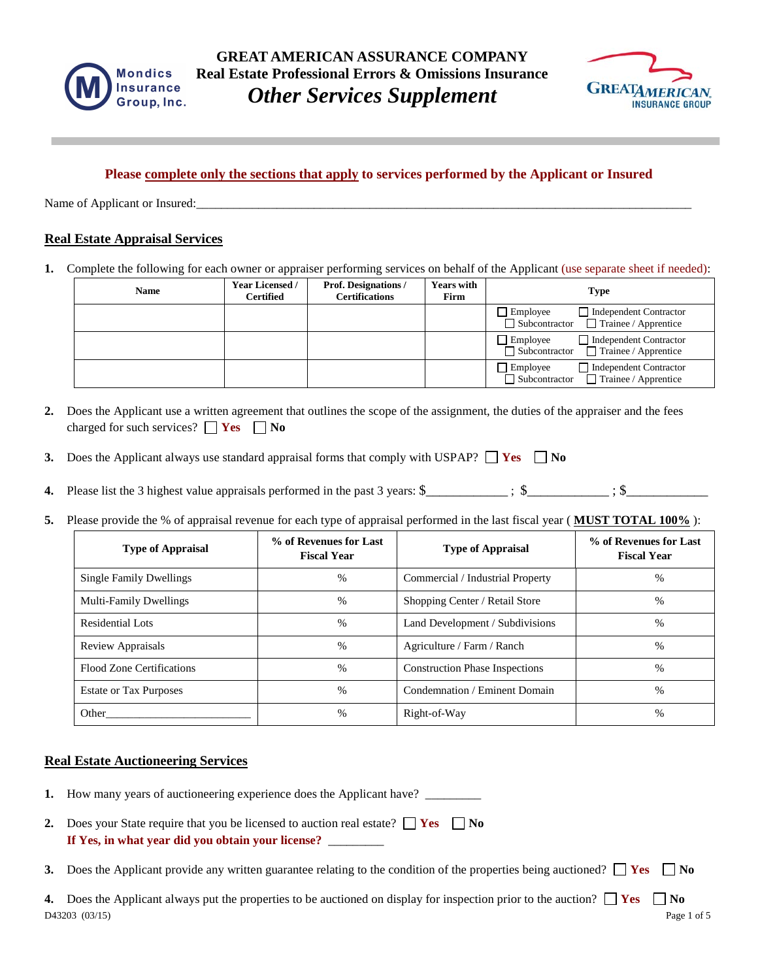



# **Please complete only the sections that apply to services performed by the Applicant or Insured**

Name of Applicant or Insured:

### **Real Estate Appraisal Services**

**1.** Complete the following for each owner or appraiser performing services on behalf of the Applicant (use separate sheet if needed):

| <b>Name</b> | <b>Year Licensed /</b><br><b>Certified</b> | <b>Prof. Designations /</b><br><b>Certifications</b> | <b>Years with</b><br>Firm | <b>Type</b>                                                                                   |
|-------------|--------------------------------------------|------------------------------------------------------|---------------------------|-----------------------------------------------------------------------------------------------|
|             |                                            |                                                      |                           | Independent Contractor<br>Employee<br>$\Box$ Subcontractor $\Box$ Trainee / Apprentice        |
|             |                                            |                                                      |                           | Independent Contractor<br>$\Box$ Employee<br>$\Box$ Subcontractor $\Box$ Trainee / Apprentice |
|             |                                            |                                                      |                           | Independent Contractor<br>$\Box$ Employee<br>$\Box$ Trainee / Apprentice<br>□ Subcontractor   |

- **2.** Does the Applicant use a written agreement that outlines the scope of the assignment, the duties of the appraiser and the fees charged for such services?  $\Box$  **Yes**  $\Box$  **No**
- **3.** Does the Applicant always use standard appraisal forms that comply with USPAP?  $\Box$  Yes  $\Box$  No
- **4.** Please list the 3 highest value appraisals performed in the past 3 years:  $\frac{1}{2}$  ;  $\frac{1}{2}$  ;  $\frac{1}{2}$  ;  $\frac{1}{2}$
- **5.** Please provide the % of appraisal revenue for each type of appraisal performed in the last fiscal year ( **MUST TOTAL 100%** ):

| <b>Type of Appraisal</b>       | % of Revenues for Last<br><b>Fiscal Year</b> | <b>Type of Appraisal</b>              | % of Revenues for Last<br><b>Fiscal Year</b> |
|--------------------------------|----------------------------------------------|---------------------------------------|----------------------------------------------|
| <b>Single Family Dwellings</b> | $\frac{0}{0}$                                | Commercial / Industrial Property      | $\%$                                         |
| <b>Multi-Family Dwellings</b>  | %                                            | Shopping Center / Retail Store        | %                                            |
| Residential Lots               | %                                            | Land Development / Subdivisions       | $\%$                                         |
| <b>Review Appraisals</b>       | $\frac{0}{0}$                                | Agriculture / Farm / Ranch            | $\%$                                         |
| Flood Zone Certifications      | $\%$                                         | <b>Construction Phase Inspections</b> | $\%$                                         |
| <b>Estate or Tax Purposes</b>  | $\frac{0}{0}$                                | Condemnation / Eminent Domain         | $\%$                                         |
| Other                          | $\%$                                         | Right-of-Way                          | %                                            |

#### **Real Estate Auctioneering Services**

| 1. How many years of auctioneering experience does the Applicant have?                                                                            |
|---------------------------------------------------------------------------------------------------------------------------------------------------|
| 2. Does your State require that you be licensed to auction real estate? $\Box$ Yes $\Box$ No<br>If Yes, in what year did you obtain your license? |
| 3. Does the Applicant provide any written guarantee relating to the condition of the properties being auctioned? $\Box$ Yes $\Box$ No             |
| A Does the Applicant always put the properties to be auctioned on display for inspection prior to the auction? $\ \mathbf{v}_{\alpha}\ $          |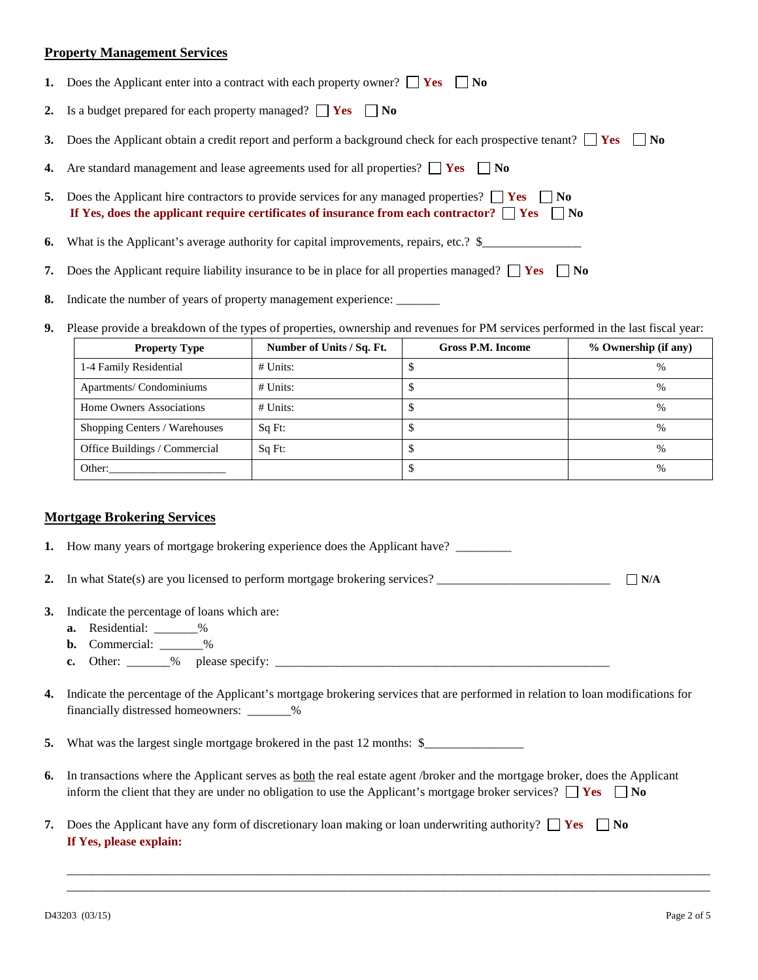#### **Property Management Services**

|    | 1. Does the Applicant enter into a contract with each property owner? $\Box$ Yes $\Box$ No                                                                                                                          |
|----|---------------------------------------------------------------------------------------------------------------------------------------------------------------------------------------------------------------------|
|    | 2. Is a budget prepared for each property managed? $\Box$ Yes $\Box$ No                                                                                                                                             |
|    | 3. Does the Applicant obtain a credit report and perform a background check for each prospective tenant? $\Box$ Yes $\Box$ No                                                                                       |
|    | 4. Are standard management and lease agreements used for all properties? $\Box$ Yes $\Box$ No                                                                                                                       |
| 5. | Does the Applicant hire contractors to provide services for any managed properties? $\Box$ Yes $\Box$ No<br>If Yes, does the applicant require certificates of insurance from each contractor? $\Box$ Yes $\Box$ No |
|    | <b>6.</b> What is the Applicant's average authority for capital improvements, repairs, etc.? $\frac{1}{2}$                                                                                                          |
| 7. | Does the Applicant require liability insurance to be in place for all properties managed? $\Box$ Yes $\Box$ No                                                                                                      |
|    | 8. Indicate the number of years of property management experience:                                                                                                                                                  |

**9.** Please provide a breakdown of the types of properties, ownership and revenues for PM services performed in the last fiscal year:

| <b>Property Type</b>          | Number of Units / Sq. Ft. | Gross P.M. Income | % Ownership (if any) |
|-------------------------------|---------------------------|-------------------|----------------------|
| 1-4 Family Residential        | $#$ Units:                |                   | $\%$                 |
| Apartments/ Condominiums      | $#$ Units:                |                   | $\%$                 |
| Home Owners Associations      | $#$ Units:                |                   | %                    |
| Shopping Centers / Warehouses | Sq Ft:                    |                   | $\%$                 |
| Office Buildings / Commercial | Sq Ft:                    |                   | $\%$                 |
| Other:                        |                           |                   | $\%$                 |

#### **Mortgage Brokering Services**

| 1. How many years of mortgage brokering experience does the Applicant have?                                                   |            |
|-------------------------------------------------------------------------------------------------------------------------------|------------|
| 2. In what $State(s)$ are you licensed to perform mortgage brokering services?                                                | $\neg N/A$ |
| 3. Indicate the percentage of loans which are:                                                                                |            |
| <b>a.</b> Residential: $\_\_\_\_\_$                                                                                           |            |
| <b>b.</b> Commercial: $\_\_\_\_\_\_\$                                                                                         |            |
| c. Other: $\_\_\_\_$ % please specify: $\_\_\_\_\_\_\_\_\_\_\_\_$                                                             |            |
|                                                                                                                               |            |
| 4. Indicate the percentage of the Applicant's mortgage brokering services that are performed in relation to loan modification |            |

**4.** Indicate the percentage of the Applicant's mortgage brokering services that are performed in relation to loan modifications for financially distressed homeowners: \_\_\_\_\_\_\_%

**5.** What was the largest single mortgage brokered in the past 12 months:  $\frac{1}{2}$ 

**6.** In transactions where the Applicant serves as both the real estate agent /broker and the mortgage broker, does the Applicant inform the client that they are under no obligation to use the Applicant's mortgage broker services?  $\Box$  Yes  $\Box$  No

\_\_\_\_\_\_\_\_\_\_\_\_\_\_\_\_\_\_\_\_\_\_\_\_\_\_\_\_\_\_\_\_\_\_\_\_\_\_\_\_\_\_\_\_\_\_\_\_\_\_\_\_\_\_\_\_\_\_\_\_\_\_\_\_\_\_\_\_\_\_\_\_\_\_\_\_\_\_\_\_\_\_\_\_\_\_\_\_\_\_\_\_\_\_\_\_\_\_\_\_\_\_\_\_ \_\_\_\_\_\_\_\_\_\_\_\_\_\_\_\_\_\_\_\_\_\_\_\_\_\_\_\_\_\_\_\_\_\_\_\_\_\_\_\_\_\_\_\_\_\_\_\_\_\_\_\_\_\_\_\_\_\_\_\_\_\_\_\_\_\_\_\_\_\_\_\_\_\_\_\_\_\_\_\_\_\_\_\_\_\_\_\_\_\_\_\_\_\_\_\_\_\_\_\_\_\_\_\_

**7.** Does the Applicant have any form of discretionary loan making or loan underwriting authority?  $\Box$  Yes  $\Box$  No **If Yes, please explain:**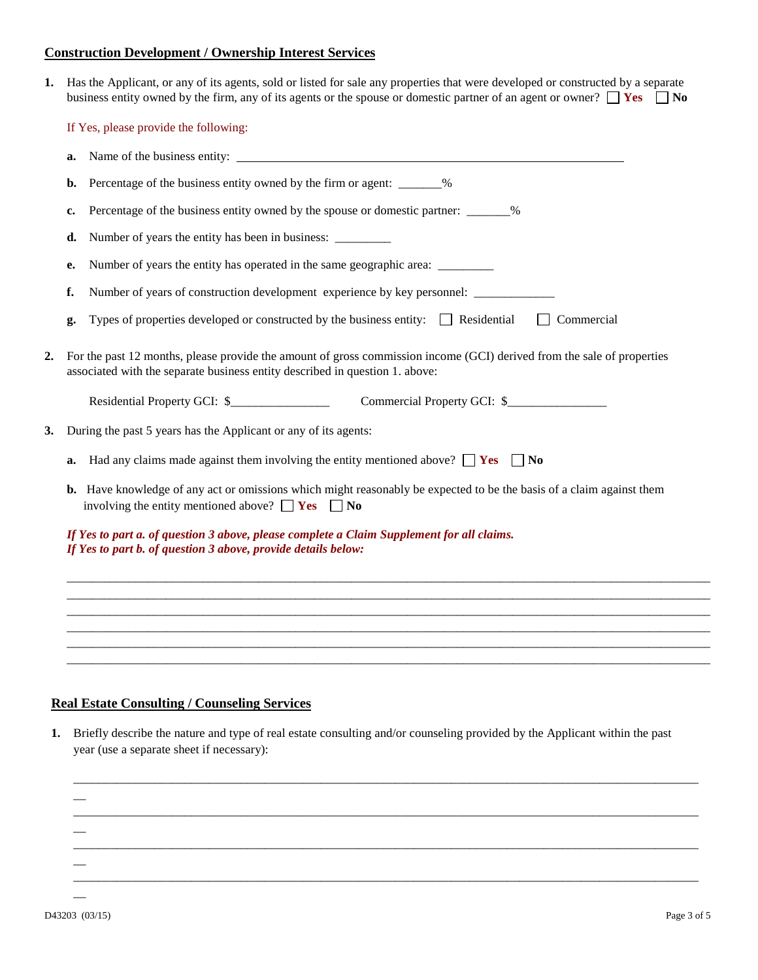### **Construction Development / Ownership Interest Services**

**1.** Has the Applicant, or any of its agents, sold or listed for sale any properties that were developed or constructed by a separate business entity owned by the firm, any of its agents or the spouse or domestic partner of an agent or owner?  $\Box$  Yes  $\Box$  No

If Yes, please provide the following:

|    | a. |                                                                                                                                                                                                        |  |  |
|----|----|--------------------------------------------------------------------------------------------------------------------------------------------------------------------------------------------------------|--|--|
|    | b. | Percentage of the business entity owned by the firm or agent: _______%                                                                                                                                 |  |  |
|    | c. | Percentage of the business entity owned by the spouse or domestic partner: _______%                                                                                                                    |  |  |
|    | d. |                                                                                                                                                                                                        |  |  |
|    | e. | Number of years the entity has operated in the same geographic area: __________                                                                                                                        |  |  |
|    | f. | Number of years of construction development experience by key personnel: ______________                                                                                                                |  |  |
|    | g. | Types of properties developed or constructed by the business entity: $\Box$ Residential<br>$\Box$ Commercial                                                                                           |  |  |
| 2. |    | For the past 12 months, please provide the amount of gross commission income (GCI) derived from the sale of properties<br>associated with the separate business entity described in question 1. above: |  |  |
|    |    | Residential Property GCI: \$<br>Commercial Property GCI: \$                                                                                                                                            |  |  |
| 3. |    | During the past 5 years has the Applicant or any of its agents:                                                                                                                                        |  |  |
|    | a. | Had any claims made against them involving the entity mentioned above? $\Box$ Yes $\Box$ No                                                                                                            |  |  |
|    |    | <b>b.</b> Have knowledge of any act or omissions which might reasonably be expected to be the basis of a claim against them<br>involving the entity mentioned above? $\Box$ Yes $\Box$ No              |  |  |
|    |    | If Yes to part a. of question 3 above, please complete a Claim Supplement for all claims.<br>If Yes to part b. of question 3 above, provide details below:                                             |  |  |
|    |    |                                                                                                                                                                                                        |  |  |
|    |    |                                                                                                                                                                                                        |  |  |
|    |    |                                                                                                                                                                                                        |  |  |
|    |    |                                                                                                                                                                                                        |  |  |
|    |    |                                                                                                                                                                                                        |  |  |

# **Real Estate Consulting / Counseling Services**

**1.** Briefly describe the nature and type of real estate consulting and/or counseling provided by the Applicant within the past year (use a separate sheet if necessary):

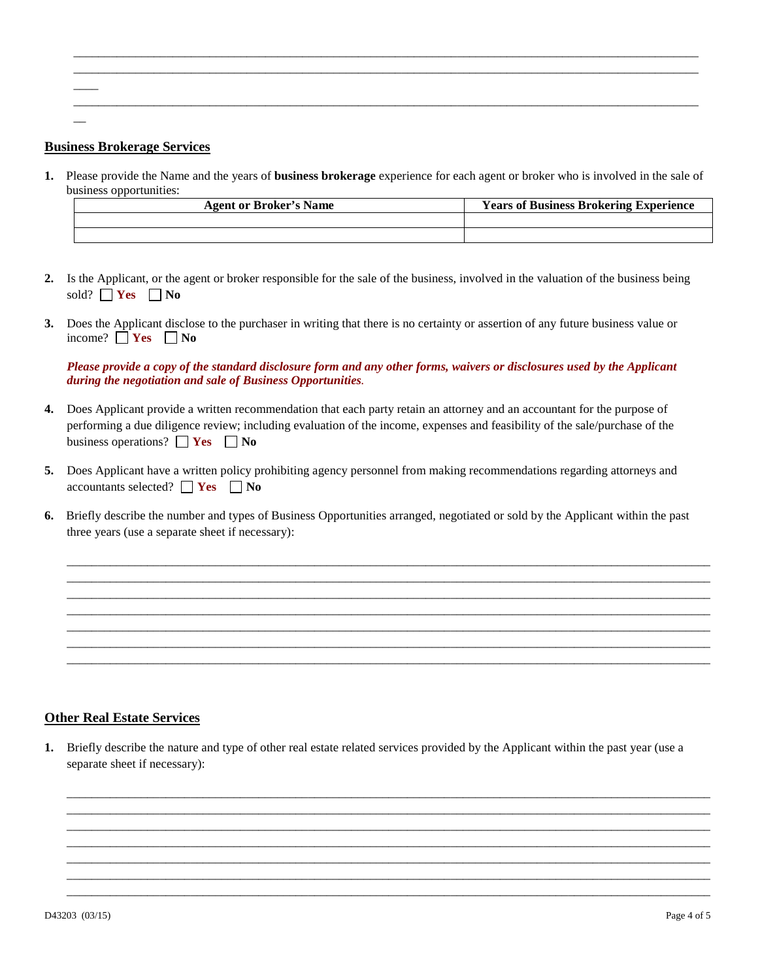# **Business Brokerage Services**

 $\overline{\phantom{a}}$ 

 $\overline{\phantom{a}}$ 

**1.** Please provide the Name and the years of **business brokerage** experience for each agent or broker who is involved in the sale of business opportunities:

\_\_\_\_\_\_\_\_\_\_\_\_\_\_\_\_\_\_\_\_\_\_\_\_\_\_\_\_\_\_\_\_\_\_\_\_\_\_\_\_\_\_\_\_\_\_\_\_\_\_\_\_\_\_\_\_\_\_\_\_\_\_\_\_\_\_\_\_\_\_\_\_\_\_\_\_\_\_\_\_\_\_\_\_\_\_\_\_\_\_\_\_\_\_\_\_\_\_\_\_\_ \_\_\_\_\_\_\_\_\_\_\_\_\_\_\_\_\_\_\_\_\_\_\_\_\_\_\_\_\_\_\_\_\_\_\_\_\_\_\_\_\_\_\_\_\_\_\_\_\_\_\_\_\_\_\_\_\_\_\_\_\_\_\_\_\_\_\_\_\_\_\_\_\_\_\_\_\_\_\_\_\_\_\_\_\_\_\_\_\_\_\_\_\_\_\_\_\_\_\_\_\_

\_\_\_\_\_\_\_\_\_\_\_\_\_\_\_\_\_\_\_\_\_\_\_\_\_\_\_\_\_\_\_\_\_\_\_\_\_\_\_\_\_\_\_\_\_\_\_\_\_\_\_\_\_\_\_\_\_\_\_\_\_\_\_\_\_\_\_\_\_\_\_\_\_\_\_\_\_\_\_\_\_\_\_\_\_\_\_\_\_\_\_\_\_\_\_\_\_\_\_\_\_

| <b>Agent or Broker's Name</b> | <b>Years of Business Brokering Experience</b> |  |
|-------------------------------|-----------------------------------------------|--|
|                               |                                               |  |
|                               |                                               |  |

- **2.** Is the Applicant, or the agent or broker responsible for the sale of the business, involved in the valuation of the business being sold?  $\Box$  **Yes**  $\Box$  **No**
- **3.** Does the Applicant disclose to the purchaser in writing that there is no certainty or assertion of any future business value or income?  $\Box$  **Yes**  $\Box$  **No**

*Please provide a copy of the standard disclosure form and any other forms, waivers or disclosures used by the Applicant during the negotiation and sale of Business Opportunities.*

- **4.** Does Applicant provide a written recommendation that each party retain an attorney and an accountant for the purpose of performing a due diligence review; including evaluation of the income, expenses and feasibility of the sale/purchase of the business operations?  $\Box$  **Yes**  $\Box$  **No**
- **5.** Does Applicant have a written policy prohibiting agency personnel from making recommendations regarding attorneys and accountants selected?  $\Box$  **Yes**  $\Box$  **No**
- **6.** Briefly describe the number and types of Business Opportunities arranged, negotiated or sold by the Applicant within the past three years (use a separate sheet if necessary):

\_\_\_\_\_\_\_\_\_\_\_\_\_\_\_\_\_\_\_\_\_\_\_\_\_\_\_\_\_\_\_\_\_\_\_\_\_\_\_\_\_\_\_\_\_\_\_\_\_\_\_\_\_\_\_\_\_\_\_\_\_\_\_\_\_\_\_\_\_\_\_\_\_\_\_\_\_\_\_\_\_\_\_\_\_\_\_\_\_\_\_\_\_\_\_\_\_\_\_\_\_\_\_\_ \_\_\_\_\_\_\_\_\_\_\_\_\_\_\_\_\_\_\_\_\_\_\_\_\_\_\_\_\_\_\_\_\_\_\_\_\_\_\_\_\_\_\_\_\_\_\_\_\_\_\_\_\_\_\_\_\_\_\_\_\_\_\_\_\_\_\_\_\_\_\_\_\_\_\_\_\_\_\_\_\_\_\_\_\_\_\_\_\_\_\_\_\_\_\_\_\_\_\_\_\_\_\_\_ \_\_\_\_\_\_\_\_\_\_\_\_\_\_\_\_\_\_\_\_\_\_\_\_\_\_\_\_\_\_\_\_\_\_\_\_\_\_\_\_\_\_\_\_\_\_\_\_\_\_\_\_\_\_\_\_\_\_\_\_\_\_\_\_\_\_\_\_\_\_\_\_\_\_\_\_\_\_\_\_\_\_\_\_\_\_\_\_\_\_\_\_\_\_\_\_\_\_\_\_\_\_\_\_ \_\_\_\_\_\_\_\_\_\_\_\_\_\_\_\_\_\_\_\_\_\_\_\_\_\_\_\_\_\_\_\_\_\_\_\_\_\_\_\_\_\_\_\_\_\_\_\_\_\_\_\_\_\_\_\_\_\_\_\_\_\_\_\_\_\_\_\_\_\_\_\_\_\_\_\_\_\_\_\_\_\_\_\_\_\_\_\_\_\_\_\_\_\_\_\_\_\_\_\_\_\_\_\_ \_\_\_\_\_\_\_\_\_\_\_\_\_\_\_\_\_\_\_\_\_\_\_\_\_\_\_\_\_\_\_\_\_\_\_\_\_\_\_\_\_\_\_\_\_\_\_\_\_\_\_\_\_\_\_\_\_\_\_\_\_\_\_\_\_\_\_\_\_\_\_\_\_\_\_\_\_\_\_\_\_\_\_\_\_\_\_\_\_\_\_\_\_\_\_\_\_\_\_\_\_\_\_\_ \_\_\_\_\_\_\_\_\_\_\_\_\_\_\_\_\_\_\_\_\_\_\_\_\_\_\_\_\_\_\_\_\_\_\_\_\_\_\_\_\_\_\_\_\_\_\_\_\_\_\_\_\_\_\_\_\_\_\_\_\_\_\_\_\_\_\_\_\_\_\_\_\_\_\_\_\_\_\_\_\_\_\_\_\_\_\_\_\_\_\_\_\_\_\_\_\_\_\_\_\_\_\_\_ \_\_\_\_\_\_\_\_\_\_\_\_\_\_\_\_\_\_\_\_\_\_\_\_\_\_\_\_\_\_\_\_\_\_\_\_\_\_\_\_\_\_\_\_\_\_\_\_\_\_\_\_\_\_\_\_\_\_\_\_\_\_\_\_\_\_\_\_\_\_\_\_\_\_\_\_\_\_\_\_\_\_\_\_\_\_\_\_\_\_\_\_\_\_\_\_\_\_\_\_\_\_\_\_

### **Other Real Estate Services**

**1.** Briefly describe the nature and type of other real estate related services provided by the Applicant within the past year (use a separate sheet if necessary):

\_\_\_\_\_\_\_\_\_\_\_\_\_\_\_\_\_\_\_\_\_\_\_\_\_\_\_\_\_\_\_\_\_\_\_\_\_\_\_\_\_\_\_\_\_\_\_\_\_\_\_\_\_\_\_\_\_\_\_\_\_\_\_\_\_\_\_\_\_\_\_\_\_\_\_\_\_\_\_\_\_\_\_\_\_\_\_\_\_\_\_\_\_\_\_\_\_\_\_\_\_\_\_\_ \_\_\_\_\_\_\_\_\_\_\_\_\_\_\_\_\_\_\_\_\_\_\_\_\_\_\_\_\_\_\_\_\_\_\_\_\_\_\_\_\_\_\_\_\_\_\_\_\_\_\_\_\_\_\_\_\_\_\_\_\_\_\_\_\_\_\_\_\_\_\_\_\_\_\_\_\_\_\_\_\_\_\_\_\_\_\_\_\_\_\_\_\_\_\_\_\_\_\_\_\_\_\_\_ \_\_\_\_\_\_\_\_\_\_\_\_\_\_\_\_\_\_\_\_\_\_\_\_\_\_\_\_\_\_\_\_\_\_\_\_\_\_\_\_\_\_\_\_\_\_\_\_\_\_\_\_\_\_\_\_\_\_\_\_\_\_\_\_\_\_\_\_\_\_\_\_\_\_\_\_\_\_\_\_\_\_\_\_\_\_\_\_\_\_\_\_\_\_\_\_\_\_\_\_\_\_\_\_ \_\_\_\_\_\_\_\_\_\_\_\_\_\_\_\_\_\_\_\_\_\_\_\_\_\_\_\_\_\_\_\_\_\_\_\_\_\_\_\_\_\_\_\_\_\_\_\_\_\_\_\_\_\_\_\_\_\_\_\_\_\_\_\_\_\_\_\_\_\_\_\_\_\_\_\_\_\_\_\_\_\_\_\_\_\_\_\_\_\_\_\_\_\_\_\_\_\_\_\_\_\_\_\_ \_\_\_\_\_\_\_\_\_\_\_\_\_\_\_\_\_\_\_\_\_\_\_\_\_\_\_\_\_\_\_\_\_\_\_\_\_\_\_\_\_\_\_\_\_\_\_\_\_\_\_\_\_\_\_\_\_\_\_\_\_\_\_\_\_\_\_\_\_\_\_\_\_\_\_\_\_\_\_\_\_\_\_\_\_\_\_\_\_\_\_\_\_\_\_\_\_\_\_\_\_\_\_\_ \_\_\_\_\_\_\_\_\_\_\_\_\_\_\_\_\_\_\_\_\_\_\_\_\_\_\_\_\_\_\_\_\_\_\_\_\_\_\_\_\_\_\_\_\_\_\_\_\_\_\_\_\_\_\_\_\_\_\_\_\_\_\_\_\_\_\_\_\_\_\_\_\_\_\_\_\_\_\_\_\_\_\_\_\_\_\_\_\_\_\_\_\_\_\_\_\_\_\_\_\_\_\_\_ \_\_\_\_\_\_\_\_\_\_\_\_\_\_\_\_\_\_\_\_\_\_\_\_\_\_\_\_\_\_\_\_\_\_\_\_\_\_\_\_\_\_\_\_\_\_\_\_\_\_\_\_\_\_\_\_\_\_\_\_\_\_\_\_\_\_\_\_\_\_\_\_\_\_\_\_\_\_\_\_\_\_\_\_\_\_\_\_\_\_\_\_\_\_\_\_\_\_\_\_\_\_\_\_